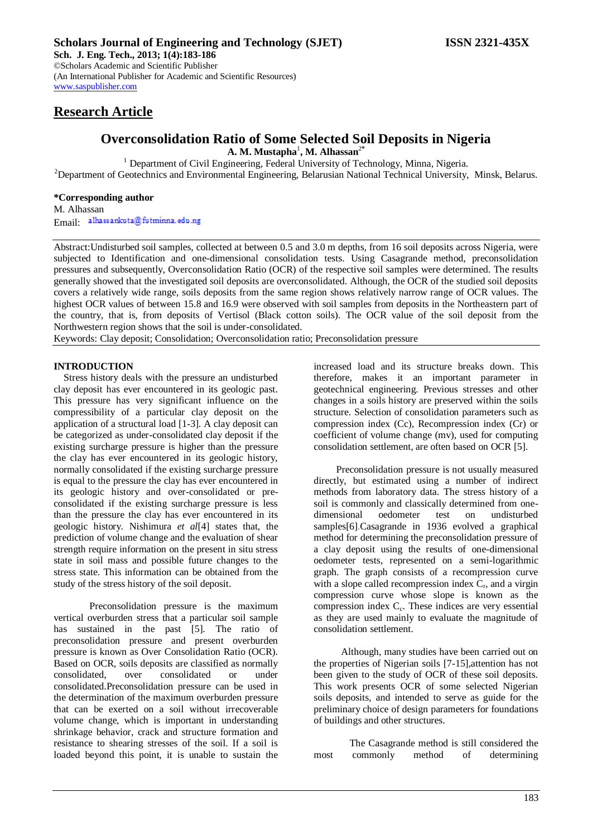# **Research Article**

# **Overconsolidation Ratio of Some Selected Soil Deposits in Nigeria A. M. Mustapha**<sup>1</sup> **, M. Alhassan**<sup>2</sup>**\***

<sup>1</sup> Department of Civil Engineering, Federal University of Technology, Minna, Nigeria. <sup>2</sup>Department of Geotechnics and Environmental Engineering, Belarusian National Technical University, Minsk, Belarus.

### **\*Corresponding author**

M. Alhassan Email alhassankuta@futminna.edu.ng

Abstract:Undisturbed soil samples, collected at between 0.5 and 3.0 m depths, from 16 soil deposits across Nigeria, were subjected to Identification and one-dimensional consolidation tests. Using Casagrande method, preconsolidation pressures and subsequently, Overconsolidation Ratio (OCR) of the respective soil samples were determined. The results generally showed that the investigated soil deposits are overconsolidated. Although, the OCR of the studied soil deposits covers a relatively wide range, soils deposits from the same region shows relatively narrow range of OCR values. The highest OCR values of between 15.8 and 16.9 were observed with soil samples from deposits in the Northeastern part of the country, that is, from deposits of Vertisol (Black cotton soils). The OCR value of the soil deposit from the Northwestern region shows that the soil is under-consolidated.

Keywords: Clay deposit; Consolidation; Overconsolidation ratio; Preconsolidation pressure

### **INTRODUCTION**

Stress history deals with the pressure an undisturbed clay deposit has ever encountered in its geologic past. This pressure has very significant influence on the compressibility of a particular clay deposit on the application of a structural load [1-3]. A clay deposit can be categorized as under-consolidated clay deposit if the existing surcharge pressure is higher than the pressure the clay has ever encountered in its geologic history, normally consolidated if the existing surcharge pressure is equal to the pressure the clay has ever encountered in its geologic history and over-consolidated or preconsolidated if the existing surcharge pressure is less than the pressure the clay has ever encountered in its geologic history. Nishimura *et al*[4] states that, the prediction of volume change and the evaluation of shear strength require information on the present in situ stress state in soil mass and possible future changes to the stress state. This information can be obtained from the study of the stress history of the soil deposit.

Preconsolidation pressure is the maximum vertical overburden stress that a particular soil sample has sustained in the past [5]. The ratio of preconsolidation pressure and present overburden pressure is known as Over Consolidation Ratio (OCR). Based on OCR, soils deposits are classified as normally consolidated, over consolidated or under consolidated.Preconsolidation pressure can be used in the determination of the maximum overburden pressure that can be exerted on a soil without irrecoverable volume change, which is important in understanding shrinkage behavior, crack and structure formation and resistance to shearing stresses of the soil. If a soil is loaded beyond this point, it is unable to sustain the

increased load and its structure breaks down. This therefore, makes it an important parameter in geotechnical engineering. Previous stresses and other changes in a soils history are preserved within the soils structure. Selection of consolidation parameters such as compression index (Cc), Recompression index (Cr) or coefficient of volume change (mv), used for computing consolidation settlement, are often based on OCR [5].

Preconsolidation pressure is not usually measured directly, but estimated using a number of indirect methods from laboratory data. The stress history of a soil is commonly and classically determined from onedimensional oedometer test on undisturbed samples[6].Casagrande in 1936 evolved a graphical method for determining the preconsolidation pressure of a clay deposit using the results of one-dimensional oedometer tests, represented on a semi-logarithmic graph. The graph consists of a recompression curve with a slope called recompression index  $C_r$ , and a virgin compression curve whose slope is known as the compression index C<sub>c</sub>. These indices are very essential as they are used mainly to evaluate the magnitude of consolidation settlement.

 Although, many studies have been carried out on the properties of Nigerian soils [7-15],attention has not been given to the study of OCR of these soil deposits. This work presents OCR of some selected Nigerian soils deposits, and intended to serve as guide for the preliminary choice of design parameters for foundations of buildings and other structures.

The Casagrande method is still considered the most commonly method of determining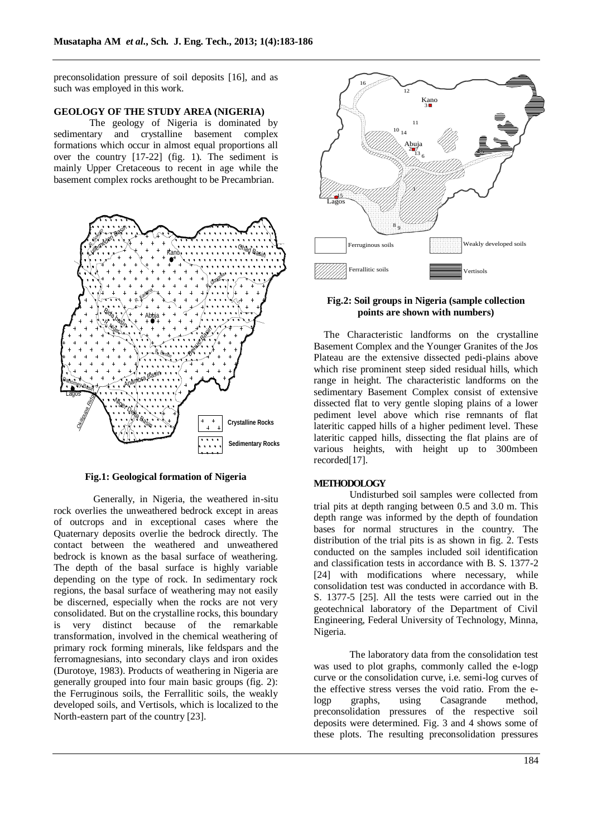preconsolidation pressure of soil deposits [16], and as such was employed in this work.

#### **GEOLOGY OF THE STUDY AREA (NIGERIA)**

The geology of Nigeria is dominated by sedimentary and crystalline basement complex formations which occur in almost equal proportions all over the country [17-22] (fig. 1). The sediment is mainly Upper Cretaceous to recent in age while the basement complex rocks arethought to be Precambrian.



**Fig.1: Geological formation of Nigeria**

 Generally, in Nigeria, the weathered in-situ rock overlies the unweathered bedrock except in areas of outcrops and in exceptional cases where the Quaternary deposits overlie the bedrock directly. The contact between the weathered and unweathered bedrock is known as the basal surface of weathering. The depth of the basal surface is highly variable depending on the type of rock. In sedimentary rock regions, the basal surface of weathering may not easily be discerned, especially when the rocks are not very consolidated. But on the crystalline rocks, this boundary is very distinct because of the remarkable transformation, involved in the chemical weathering of primary rock forming minerals, like feldspars and the ferromagnesians, into secondary clays and iron oxides (Durotoye, 1983). Products of weathering in Nigeria are generally grouped into four main basic groups (fig. 2): the Ferruginous soils, the Ferrallitic soils, the weakly developed soils, and Vertisols, which is localized to the North-eastern part of the country [23].



#### **Fig.2: Soil groups in Nigeria (sample collection points are shown with numbers)**

The Characteristic landforms on the crystalline Basement Complex and the Younger Granites of the Jos Plateau are the extensive dissected pedi-plains above which rise prominent steep sided residual hills, which range in height. The characteristic landforms on the sedimentary Basement Complex consist of extensive dissected flat to very gentle sloping plains of a lower pediment level above which rise remnants of flat lateritic capped hills of a higher pediment level. These lateritic capped hills, dissecting the flat plains are of various heights, with height up to 300mbeen recorded[17].

#### **METHODOLOGY**

Undisturbed soil samples were collected from trial pits at depth ranging between 0.5 and 3.0 m. This depth range was informed by the depth of foundation bases for normal structures in the country. The distribution of the trial pits is as shown in fig. 2. Tests conducted on the samples included soil identification and classification tests in accordance with B. S. 1377-2 [24] with modifications where necessary, while consolidation test was conducted in accordance with B. S. 1377-5 [25]. All the tests were carried out in the geotechnical laboratory of the Department of Civil Engineering, Federal University of Technology, Minna, Nigeria.

The laboratory data from the consolidation test was used to plot graphs, commonly called the e-logp curve or the consolidation curve, i.e. semi-log curves of the effective stress verses the void ratio. From the elogp graphs, using Casagrande method, preconsolidation pressures of the respective soil deposits were determined. Fig. 3 and 4 shows some of these plots. The resulting preconsolidation pressures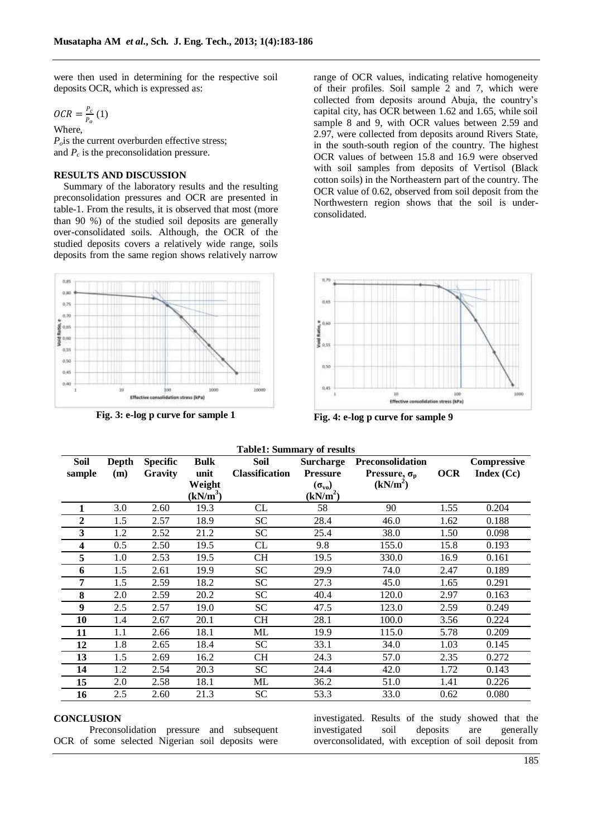were then used in determining for the respective soil deposits OCR, which is expressed as:

$$
OCR = \frac{P_c}{P_o} (1)
$$

Where,  $P<sub>o</sub>$  is the current overburden effective stress; and  $P_c$  is the preconsolidation pressure.

### **RESULTS AND DISCUSSION**

Summary of the laboratory results and the resulting preconsolidation pressures and OCR are presented in table-1. From the results, it is observed that most (more than 90 %) of the studied soil deposits are generally over-consolidated soils. Although, the OCR of the studied deposits covers a relatively wide range, soils deposits from the same region shows relatively narrow



**Fig. 3: e-log p curve for sample 1 Fig. 4: e-log p curve for sample 9**

range of OCR values, indicating relative homogeneity of their profiles. Soil sample 2 and 7, which were collected from deposits around Abuja, the country's capital city, has OCR between 1.62 and 1.65, while soil sample 8 and 9, with OCR values between 2.59 and 2.97, were collected from deposits around Rivers State, in the south-south region of the country. The highest OCR values of between 15.8 and 16.9 were observed with soil samples from deposits of Vertisol (Black cotton soils) in the Northeastern part of the country. The OCR value of 0.62, observed from soil deposit from the Northwestern region shows that the soil is underconsolidated.



| <b>Table1: Summary of results</b> |                     |                            |                                |                               |                                             |                                                |            |                                  |
|-----------------------------------|---------------------|----------------------------|--------------------------------|-------------------------------|---------------------------------------------|------------------------------------------------|------------|----------------------------------|
| <b>Soil</b><br>sample             | <b>Depth</b><br>(m) | <b>Specific</b><br>Gravity | <b>Bulk</b><br>unit            | Soil<br><b>Classification</b> | <b>Surcharge</b><br><b>Pressure</b>         | Preconsolidation<br>Pressure, $\sigma_{\rm p}$ | <b>OCR</b> | <b>Compressive</b><br>Index (Cc) |
|                                   |                     |                            | Weight<br>(kN/m <sup>3</sup> ) |                               | $(\sigma_{\rm vo})$<br>(kN/m <sup>2</sup> ) | (kN/m <sup>2</sup> )                           |            |                                  |
| 1                                 | 3.0                 | 2.60                       | 19.3                           | CL                            | 58                                          | 90                                             | 1.55       | 0.204                            |
| $\overline{2}$                    | 1.5                 | 2.57                       | 18.9                           | <b>SC</b>                     | 28.4                                        | 46.0                                           | 1.62       | 0.188                            |
| 3                                 | 1.2                 | 2.52                       | 21.2                           | <b>SC</b>                     | 25.4                                        | 38.0                                           | 1.50       | 0.098                            |
| 4                                 | 0.5                 | 2.50                       | 19.5                           | CL                            | 9.8                                         | 155.0                                          | 15.8       | 0.193                            |
| 5                                 | 1.0                 | 2.53                       | 19.5                           | <b>CH</b>                     | 19.5                                        | 330.0                                          | 16.9       | 0.161                            |
| 6                                 | 1.5                 | 2.61                       | 19.9                           | SC                            | 29.9                                        | 74.0                                           | 2.47       | 0.189                            |
| 7                                 | 1.5                 | 2.59                       | 18.2                           | <b>SC</b>                     | 27.3                                        | 45.0                                           | 1.65       | 0.291                            |
| 8                                 | 2.0                 | 2.59                       | 20.2                           | <b>SC</b>                     | 40.4                                        | 120.0                                          | 2.97       | 0.163                            |
| $\boldsymbol{9}$                  | 2.5                 | 2.57                       | 19.0                           | <b>SC</b>                     | 47.5                                        | 123.0                                          | 2.59       | 0.249                            |
| 10                                | 1.4                 | 2.67                       | 20.1                           | <b>CH</b>                     | 28.1                                        | 100.0                                          | 3.56       | 0.224                            |
| 11                                | 1.1                 | 2.66                       | 18.1                           | ML                            | 19.9                                        | 115.0                                          | 5.78       | 0.209                            |
| 12                                | 1.8                 | 2.65                       | 18.4                           | <b>SC</b>                     | 33.1                                        | 34.0                                           | 1.03       | 0.145                            |
| 13                                | 1.5                 | 2.69                       | 16.2                           | <b>CH</b>                     | 24.3                                        | 57.0                                           | 2.35       | 0.272                            |
| 14                                | 1.2                 | 2.54                       | 20.3                           | <b>SC</b>                     | 24.4                                        | 42.0                                           | 1.72       | 0.143                            |
| 15                                | 2.0                 | 2.58                       | 18.1                           | ML                            | 36.2                                        | 51.0                                           | 1.41       | 0.226                            |
| 16                                | 2.5                 | 2.60                       | 21.3                           | SC                            | 53.3                                        | 33.0                                           | 0.62       | 0.080                            |

#### **CONCLUSION**

Preconsolidation pressure and subsequent OCR of some selected Nigerian soil deposits were

investigated. Results of the study showed that the investigated soil deposits are generally overconsolidated, with exception of soil deposit from

185